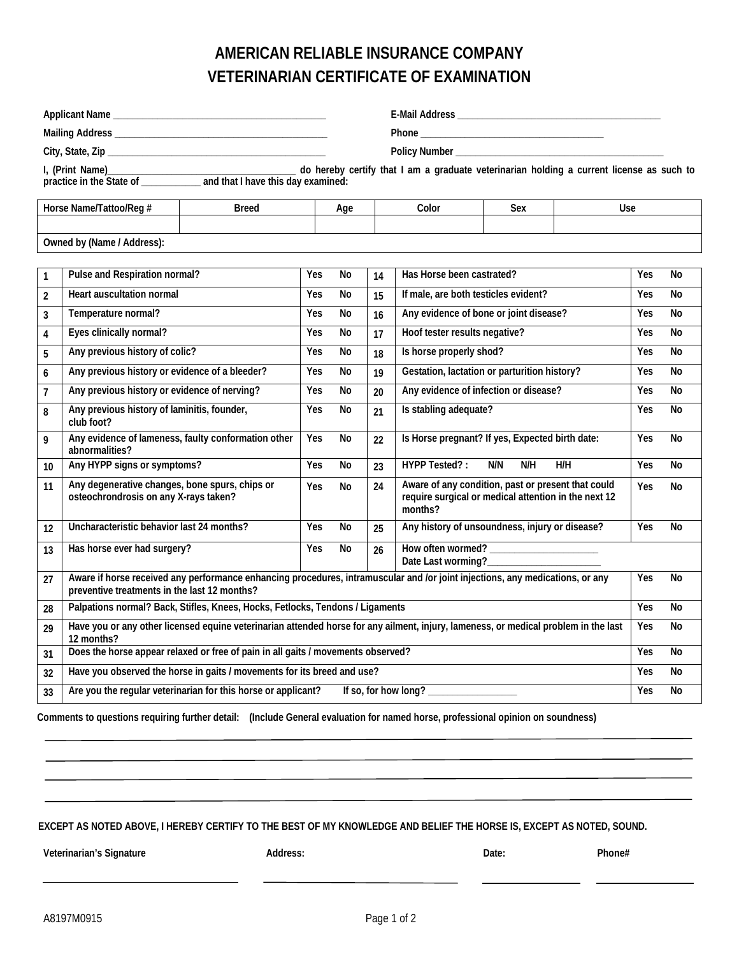## **AMERICAN RELIABLE INSURANCE COMPANY VETERINARIAN CERTIFICATE OF EXAMINATION**

| I, (Print Name)<br>practice in the State of ____________ and that I have this day examined:<br>practice in the State of __________ and that I have this day examined: |                                                                                                                                                                               |  |     |                     |    |                                                                                                                       |            |     |            |           |
|-----------------------------------------------------------------------------------------------------------------------------------------------------------------------|-------------------------------------------------------------------------------------------------------------------------------------------------------------------------------|--|-----|---------------------|----|-----------------------------------------------------------------------------------------------------------------------|------------|-----|------------|-----------|
| Horse Name/Tattoo/Reg #<br><b>Breed</b>                                                                                                                               |                                                                                                                                                                               |  |     | Color<br>Sex<br>Age |    |                                                                                                                       | <b>Use</b> |     |            |           |
| Owned by (Name / Address):                                                                                                                                            |                                                                                                                                                                               |  |     |                     |    |                                                                                                                       |            |     |            |           |
|                                                                                                                                                                       |                                                                                                                                                                               |  |     |                     |    |                                                                                                                       |            |     |            |           |
| 1                                                                                                                                                                     | Pulse and Respiration normal?                                                                                                                                                 |  | Yes | No                  | 14 | Has Horse been castrated?                                                                                             |            |     | Yes        | No        |
| $\overline{2}$                                                                                                                                                        | <b>Heart auscultation normal</b>                                                                                                                                              |  | Yes | No                  | 15 | If male, are both testicles evident?                                                                                  |            |     | Yes        | No        |
| 3                                                                                                                                                                     | Temperature normal?                                                                                                                                                           |  | Yes | No                  | 16 | Any evidence of bone or joint disease?                                                                                |            |     | Yes        | No        |
| 4                                                                                                                                                                     | Eyes clinically normal?                                                                                                                                                       |  | Yes | No                  | 17 | Hoof tester results negative?                                                                                         |            |     | Yes        | No        |
| 5                                                                                                                                                                     | Any previous history of colic?                                                                                                                                                |  | Yes | No                  | 18 | Is horse properly shod?                                                                                               |            |     | Yes        | No        |
| 6                                                                                                                                                                     | Any previous history or evidence of a bleeder?                                                                                                                                |  | Yes | No                  | 19 | Gestation, lactation or parturition history?                                                                          |            |     | Yes        | No        |
| $\overline{7}$                                                                                                                                                        | Any previous history or evidence of nerving?                                                                                                                                  |  | Yes | No                  | 20 | Any evidence of infection or disease?                                                                                 |            |     | Yes        | <b>No</b> |
| 8                                                                                                                                                                     | Any previous history of laminitis, founder,<br>club foot?                                                                                                                     |  | Yes | No                  | 21 | Is stabling adequate?                                                                                                 |            |     | Yes        | <b>No</b> |
| 9                                                                                                                                                                     | Any evidence of lameness, faulty conformation other<br>abnormalities?                                                                                                         |  | Yes | No                  | 22 | Is Horse pregnant? If yes, Expected birth date:                                                                       |            |     | Yes        | <b>No</b> |
| 10                                                                                                                                                                    | Any HYPP signs or symptoms?                                                                                                                                                   |  | Yes | No                  | 23 | <b>HYPP Tested?:</b>                                                                                                  | N/N<br>N/H | H/H | Yes        | No        |
| 11                                                                                                                                                                    | Any degenerative changes, bone spurs, chips or<br>osteochrondrosis on any X-rays taken?                                                                                       |  | Yes | No                  | 24 | Aware of any condition, past or present that could<br>require surgical or medical attention in the next 12<br>months? |            |     | Yes        | No        |
| 12                                                                                                                                                                    | Uncharacteristic behavior last 24 months?                                                                                                                                     |  | Yes | No                  | 25 | Any history of unsoundness, injury or disease?                                                                        |            |     | <b>Yes</b> | <b>No</b> |
| 13                                                                                                                                                                    | Has horse ever had surgery?                                                                                                                                                   |  | Yes | No                  | 26 | Date Last worming?___________                                                                                         |            |     |            |           |
| 27                                                                                                                                                                    | Aware if horse received any performance enhancing procedures, intramuscular and /or joint injections, any medications, or any<br>preventive treatments in the last 12 months? |  |     |                     |    |                                                                                                                       |            |     | Yes        | No        |
| 28                                                                                                                                                                    | Palpations normal? Back, Stifles, Knees, Hocks, Fetlocks, Tendons / Ligaments                                                                                                 |  |     |                     |    |                                                                                                                       |            |     | Yes        | No        |
| 29                                                                                                                                                                    | Have you or any other licensed equine veterinarian attended horse for any ailment, injury, lameness, or medical problem in the last<br>12 months?                             |  |     |                     |    |                                                                                                                       |            |     | Yes        | No        |
| 31                                                                                                                                                                    | Does the horse appear relaxed or free of pain in all gaits / movements observed?                                                                                              |  |     |                     |    |                                                                                                                       |            |     | Yes        | No        |
| 32                                                                                                                                                                    | Have you observed the horse in gaits / movements for its breed and use?                                                                                                       |  |     |                     |    |                                                                                                                       |            |     | Yes        | No        |
| 33                                                                                                                                                                    | Are you the regular veterinarian for this horse or applicant?<br>If so, for how long?                                                                                         |  |     |                     |    |                                                                                                                       |            |     |            | No        |

**Comments to questions requiring further detail: (Include General evaluation for named horse, professional opinion on soundness)**

**EXCEPT AS NOTED ABOVE, I HEREBY CERTIFY TO THE BEST OF MY KNOWLEDGE AND BELIEF THE HORSE IS, EXCEPT AS NOTED, SOUND.**

Veterinarian's Signature **Address:** Address: Date: Date: Phone#